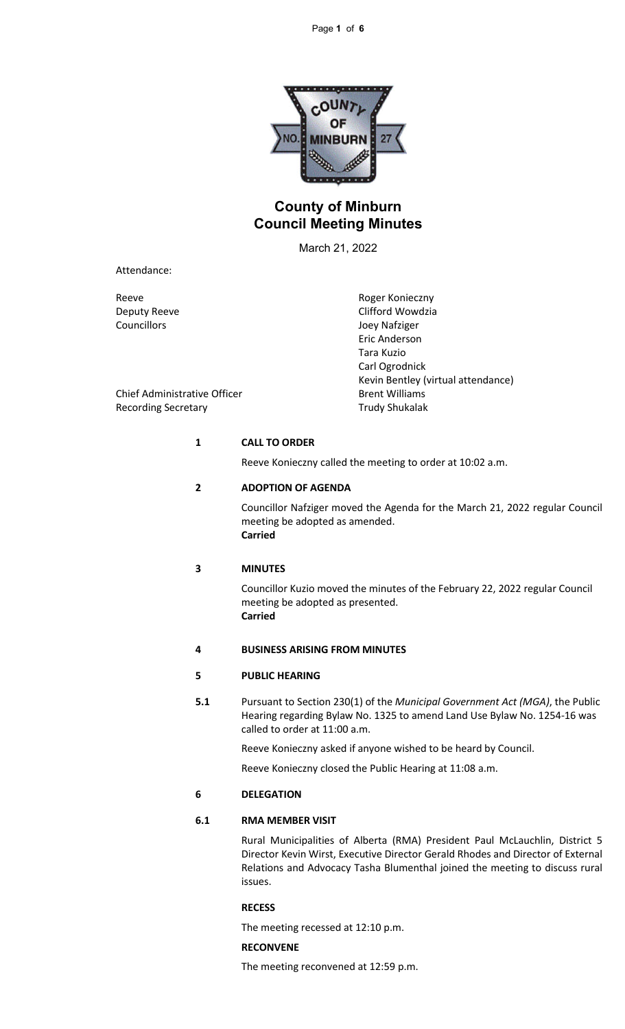

# **County of Minburn Council Meeting Minutes**

March 21, 2022

Attendance:

Councillors Joey Nafziger

Reeve Reeve Roger Konieczny Deputy Reeve Clifford Wowdzia Eric Anderson Tara Kuzio Carl Ogrodnick Kevin Bentley (virtual attendance)

Chief Administrative Officer **Brent Williams** Recording Secretary **Trudy Shukalak** 

### **1 CALL TO ORDER**

Reeve Konieczny called the meeting to order at 10:02 a.m.

## **2 ADOPTION OF AGENDA**

Councillor Nafziger moved the Agenda for the March 21, 2022 regular Council meeting be adopted as amended. **Carried**

### **3 MINUTES**

Councillor Kuzio moved the minutes of the February 22, 2022 regular Council meeting be adopted as presented. **Carried**

## **4 BUSINESS ARISING FROM MINUTES**

## **5 PUBLIC HEARING**

**5.1** Pursuant to Section 230(1) of the *Municipal Government Act (MGA)*, the Public Hearing regarding Bylaw No. 1325 to amend Land Use Bylaw No. 1254-16 was called to order at 11:00 a.m.

Reeve Konieczny asked if anyone wished to be heard by Council.

Reeve Konieczny closed the Public Hearing at 11:08 a.m.

## **6 DELEGATION**

## **6.1 RMA MEMBER VISIT**

Rural Municipalities of Alberta (RMA) President Paul McLauchlin, District 5 Director Kevin Wirst, Executive Director Gerald Rhodes and Director of External Relations and Advocacy Tasha Blumenthal joined the meeting to discuss rural issues.

### **RECESS**

The meeting recessed at 12:10 p.m.

## **RECONVENE**

The meeting reconvened at 12:59 p.m.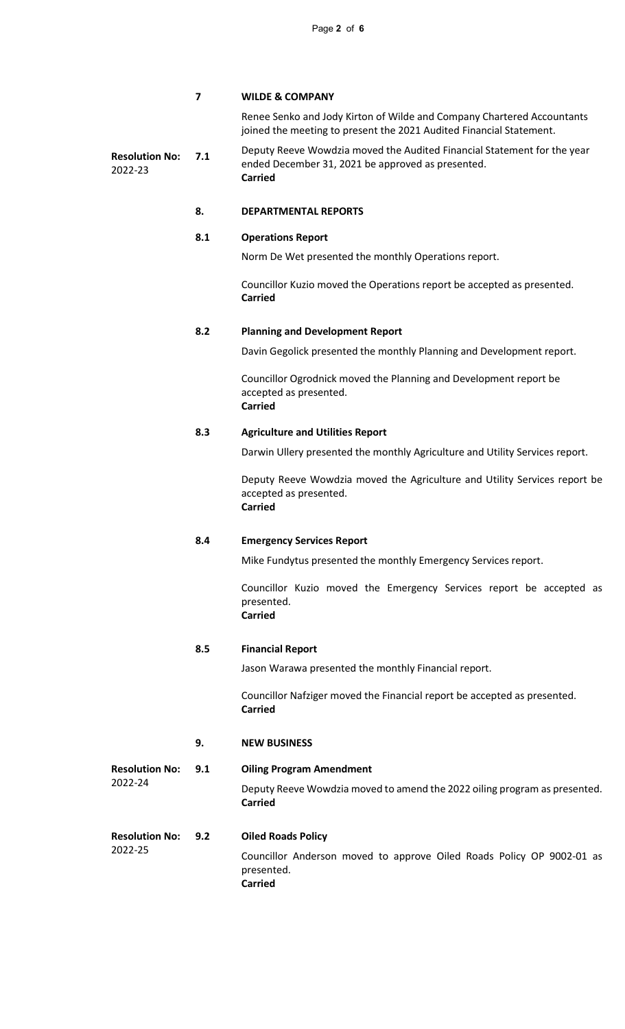## **7 WILDE & COMPANY**

Renee Senko and Jody Kirton of Wilde and Company Chartered Accountants joined the meeting to present the 2021 Audited Financial Statement.

**Resolution No:** 2022-23 **7.1** Deputy Reeve Wowdzia moved the Audited Financial Statement for the year ended December 31, 2021 be approved as presented. **Carried**

## **8. DEPARTMENTAL REPORTS**

## **8.1 Operations Report**

Norm De Wet presented the monthly Operations report.

Councillor Kuzio moved the Operations report be accepted as presented. **Carried**

## **8.2 Planning and Development Report**

Davin Gegolick presented the monthly Planning and Development report.

Councillor Ogrodnick moved the Planning and Development report be accepted as presented. **Carried**

## **8.3 Agriculture and Utilities Report**

Darwin Ullery presented the monthly Agriculture and Utility Services report.

Deputy Reeve Wowdzia moved the Agriculture and Utility Services report be accepted as presented. **Carried**

### **8.4 Emergency Services Report**

Mike Fundytus presented the monthly Emergency Services report.

Councillor Kuzio moved the Emergency Services report be accepted as presented. **Carried**

### **8.5 Financial Report**

Jason Warawa presented the monthly Financial report.

Councillor Nafziger moved the Financial report be accepted as presented. **Carried**

## **9. NEW BUSINESS**

**Resolution No:** 2022-24 **9.1 Oiling Program Amendment** Deputy Reeve Wowdzia moved to amend the 2022 oiling program as presented. **Carried**

#### **Resolution No:** 2022-25 **9.2 Oiled Roads Policy**

Councillor Anderson moved to approve Oiled Roads Policy OP 9002-01 as presented.

**Carried**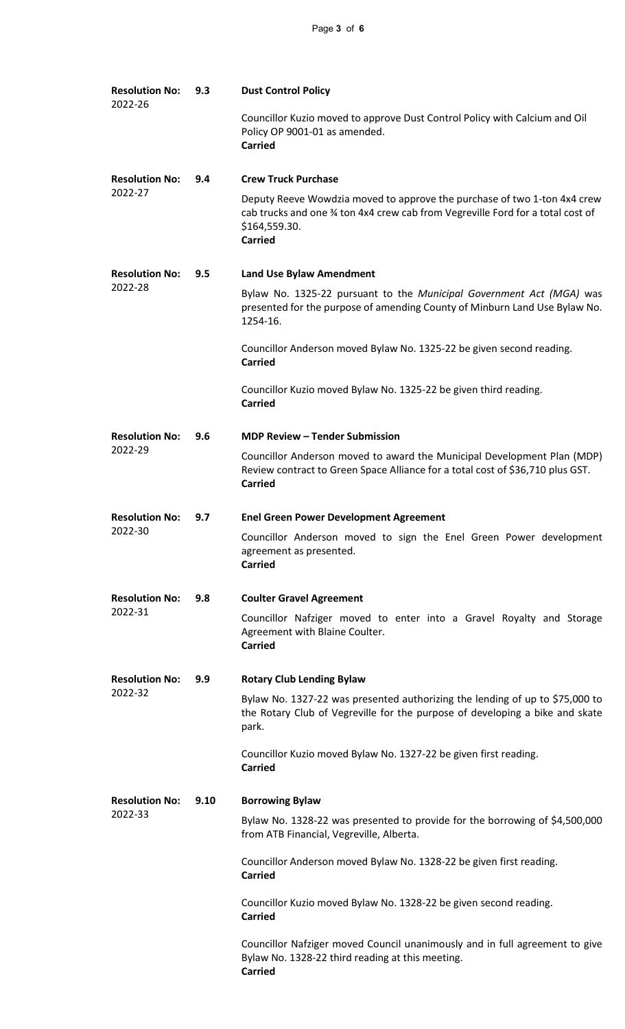| <b>Resolution No:</b><br>2022-26 | 9.3  | <b>Dust Control Policy</b>                                                                                                                                                                     |
|----------------------------------|------|------------------------------------------------------------------------------------------------------------------------------------------------------------------------------------------------|
|                                  |      | Councillor Kuzio moved to approve Dust Control Policy with Calcium and Oil<br>Policy OP 9001-01 as amended.<br><b>Carried</b>                                                                  |
| <b>Resolution No:</b><br>2022-27 | 9.4  | <b>Crew Truck Purchase</b>                                                                                                                                                                     |
|                                  |      | Deputy Reeve Wowdzia moved to approve the purchase of two 1-ton 4x4 crew<br>cab trucks and one 34 ton 4x4 crew cab from Vegreville Ford for a total cost of<br>\$164,559.30.<br><b>Carried</b> |
| <b>Resolution No:</b><br>2022-28 | 9.5  | <b>Land Use Bylaw Amendment</b>                                                                                                                                                                |
|                                  |      | Bylaw No. 1325-22 pursuant to the Municipal Government Act (MGA) was<br>presented for the purpose of amending County of Minburn Land Use Bylaw No.<br>1254-16.                                 |
|                                  |      | Councillor Anderson moved Bylaw No. 1325-22 be given second reading.<br><b>Carried</b>                                                                                                         |
|                                  |      | Councillor Kuzio moved Bylaw No. 1325-22 be given third reading.<br><b>Carried</b>                                                                                                             |
| <b>Resolution No:</b><br>2022-29 | 9.6  | <b>MDP Review - Tender Submission</b>                                                                                                                                                          |
|                                  |      | Councillor Anderson moved to award the Municipal Development Plan (MDP)<br>Review contract to Green Space Alliance for a total cost of \$36,710 plus GST.<br><b>Carried</b>                    |
| <b>Resolution No:</b><br>2022-30 | 9.7  | <b>Enel Green Power Development Agreement</b>                                                                                                                                                  |
|                                  |      | Councillor Anderson moved to sign the Enel Green Power development<br>agreement as presented.<br><b>Carried</b>                                                                                |
| <b>Resolution No:</b><br>2022-31 | 9.8  | <b>Coulter Gravel Agreement</b>                                                                                                                                                                |
|                                  |      | Councillor Nafziger moved to enter into a Gravel Royalty and Storage<br>Agreement with Blaine Coulter.<br><b>Carried</b>                                                                       |
| <b>Resolution No:</b><br>2022-32 | 9.9  | <b>Rotary Club Lending Bylaw</b>                                                                                                                                                               |
|                                  |      | Bylaw No. 1327-22 was presented authorizing the lending of up to \$75,000 to<br>the Rotary Club of Vegreville for the purpose of developing a bike and skate<br>park.                          |
|                                  |      | Councillor Kuzio moved Bylaw No. 1327-22 be given first reading.<br><b>Carried</b>                                                                                                             |
| <b>Resolution No:</b><br>2022-33 | 9.10 | <b>Borrowing Bylaw</b>                                                                                                                                                                         |
|                                  |      | Bylaw No. 1328-22 was presented to provide for the borrowing of \$4,500,000<br>from ATB Financial, Vegreville, Alberta.                                                                        |
|                                  |      | Councillor Anderson moved Bylaw No. 1328-22 be given first reading.<br><b>Carried</b>                                                                                                          |
|                                  |      | Councillor Kuzio moved Bylaw No. 1328-22 be given second reading.<br><b>Carried</b>                                                                                                            |
|                                  |      | Councillor Nafziger moved Council unanimously and in full agreement to give<br>Bylaw No. 1328-22 third reading at this meeting.<br><b>Carried</b>                                              |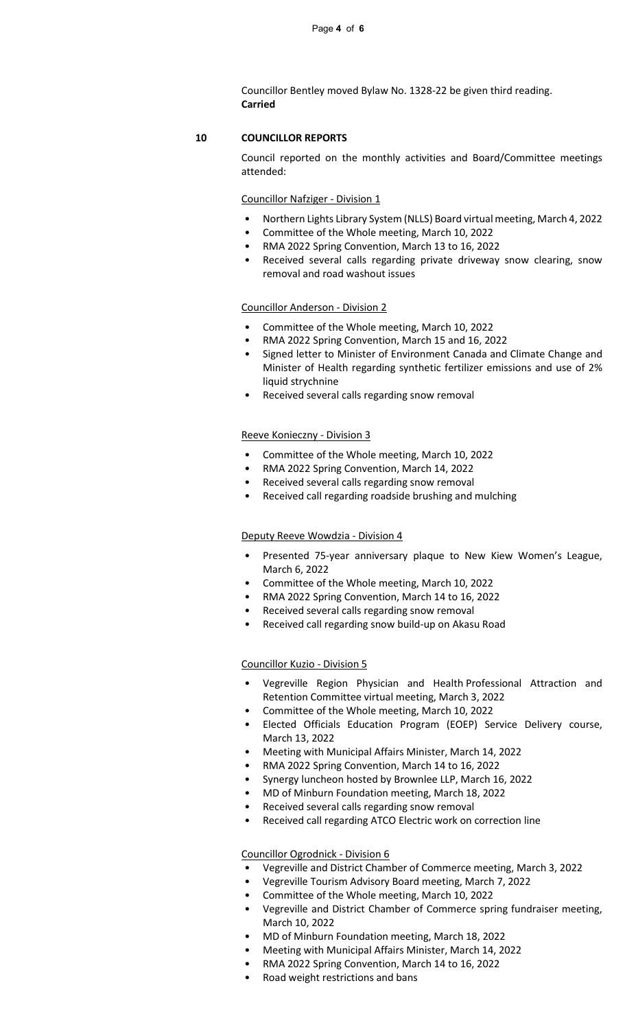Councillor Bentley moved Bylaw No. 1328-22 be given third reading. **Carried**

## **10 COUNCILLOR REPORTS**

Council reported on the monthly activities and Board/Committee meetings attended:

### Councillor Nafziger - Division 1

- Northern Lights Library System (NLLS) Board virtual meeting, March 4, 2022
- Committee of the Whole meeting, March 10, 2022
- RMA 2022 Spring Convention, March 13 to 16, 2022
- Received several calls regarding private driveway snow clearing, snow removal and road washout issues

### Councillor Anderson - Division 2

- Committee of the Whole meeting, March 10, 2022
- RMA 2022 Spring Convention, March 15 and 16, 2022
- Signed letter to Minister of Environment Canada and Climate Change and Minister of Health regarding synthetic fertilizer emissions and use of 2% liquid strychnine
- Received several calls regarding snow removal

#### Reeve Konieczny - Division 3

- Committee of the Whole meeting, March 10, 2022
- RMA 2022 Spring Convention, March 14, 2022
- Received several calls regarding snow removal
- Received call regarding roadside brushing and mulching

#### Deputy Reeve Wowdzia - Division 4

- Presented 75-year anniversary plaque to New Kiew Women's League, March 6, 2022
- Committee of the Whole meeting, March 10, 2022
- RMA 2022 Spring Convention, March 14 to 16, 2022
- Received several calls regarding snow removal
- Received call regarding snow build-up on Akasu Road

#### Councillor Kuzio - Division 5

- Vegreville Region Physician and Health Professional Attraction and Retention Committee virtual meeting, March 3, 2022
- Committee of the Whole meeting, March 10, 2022
- Elected Officials Education Program (EOEP) Service Delivery course, March 13, 2022
- Meeting with Municipal Affairs Minister, March 14, 2022
- RMA 2022 Spring Convention, March 14 to 16, 2022
- Synergy luncheon hosted by Brownlee LLP, March 16, 2022
- MD of Minburn Foundation meeting, March 18, 2022
- Received several calls regarding snow removal
- Received call regarding ATCO Electric work on correction line

## Councillor Ogrodnick - Division 6

- Vegreville and District Chamber of Commerce meeting, March 3, 2022
- Vegreville Tourism Advisory Board meeting, March 7, 2022
- Committee of the Whole meeting, March 10, 2022
- Vegreville and District Chamber of Commerce spring fundraiser meeting, March 10, 2022
- MD of Minburn Foundation meeting, March 18, 2022
- Meeting with Municipal Affairs Minister, March 14, 2022
- RMA 2022 Spring Convention, March 14 to 16, 2022
- Road weight restrictions and bans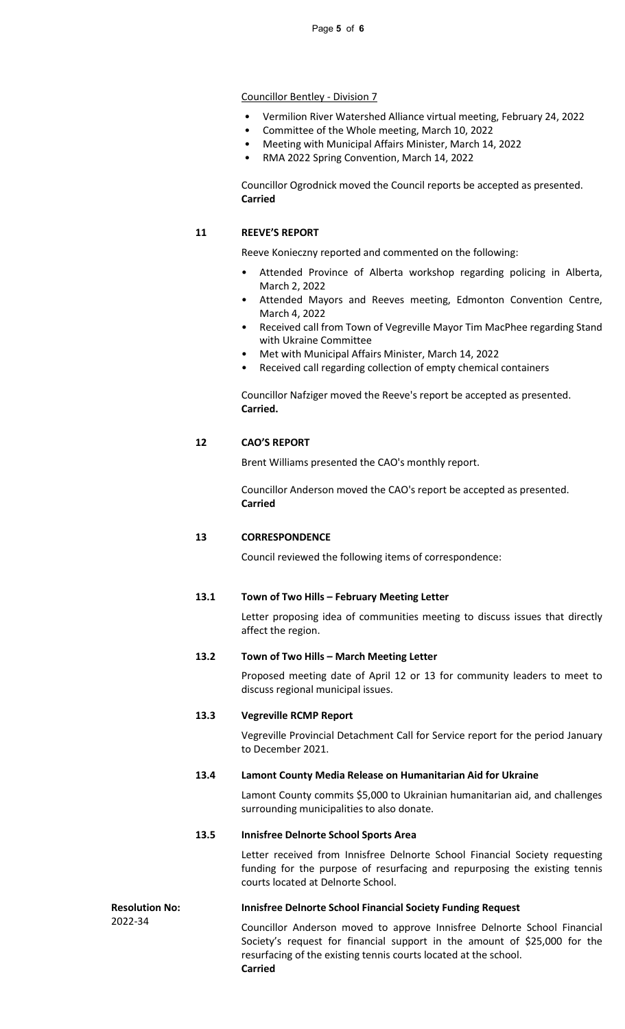## Councillor Bentley - Division 7

- Vermilion River Watershed Alliance virtual meeting, February 24, 2022
- Committee of the Whole meeting, March 10, 2022
- Meeting with Municipal Affairs Minister, March 14, 2022
- RMA 2022 Spring Convention, March 14, 2022

Councillor Ogrodnick moved the Council reports be accepted as presented. **Carried**

## **11 REEVE'S REPORT**

Reeve Konieczny reported and commented on the following:

- Attended Province of Alberta workshop regarding policing in Alberta, March 2, 2022
- Attended Mayors and Reeves meeting, Edmonton Convention Centre, March 4, 2022
- Received call from Town of Vegreville Mayor Tim MacPhee regarding Stand with Ukraine Committee
- Met with Municipal Affairs Minister, March 14, 2022
- Received call regarding collection of empty chemical containers

Councillor Nafziger moved the Reeve's report be accepted as presented. **Carried.**

## **12 CAO'S REPORT**

Brent Williams presented the CAO's monthly report.

Councillor Anderson moved the CAO's report be accepted as presented. **Carried**

## **13 CORRESPONDENCE**

Council reviewed the following items of correspondence:

### **13.1 Town of Two Hills – February Meeting Letter**

Letter proposing idea of communities meeting to discuss issues that directly affect the region.

## **13.2 Town of Two Hills – March Meeting Letter**

Proposed meeting date of April 12 or 13 for community leaders to meet to discuss regional municipal issues.

### **13.3 Vegreville RCMP Report**

Vegreville Provincial Detachment Call for Service report for the period January to December 2021.

### **13.4 Lamont County Media Release on Humanitarian Aid for Ukraine**

Lamont County commits \$5,000 to Ukrainian humanitarian aid, and challenges surrounding municipalities to also donate.

## **13.5 Innisfree Delnorte School Sports Area**

Letter received from Innisfree Delnorte School Financial Society requesting funding for the purpose of resurfacing and repurposing the existing tennis courts located at Delnorte School.

**Resolution No:** 2022-34

## **Innisfree Delnorte School Financial Society Funding Request**

Councillor Anderson moved to approve Innisfree Delnorte School Financial Society's request for financial support in the amount of \$25,000 for the resurfacing of the existing tennis courts located at the school. **Carried**